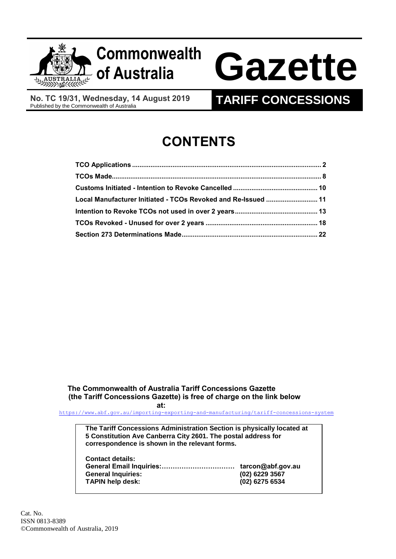

# **of Australia Gazette**

**No. TC 19/31, Wednesday, 14 August 2019**

## **TARIFF CONCESSIONS**

## **CONTENTS**

| Local Manufacturer Initiated - TCOs Revoked and Re-Issued  11 |  |
|---------------------------------------------------------------|--|
|                                                               |  |
|                                                               |  |
|                                                               |  |

### **The Commonwealth of Australia Tariff Concessions Gazette (the Tariff Concessions Gazette) is free of charge on the link below**

**at:**

<https://www.abf.gov.au/importing-exporting-and-manufacturing/tariff-concessions-system>

**The Tariff Concessions Administration Section is physically located at 5 Constitution Ave Canberra City 2601. The postal address for correspondence is shown in the relevant forms.**

| <b>Contact details:</b>   |                   |
|---------------------------|-------------------|
|                           | tarcon@abf.gov.au |
| <b>General Inquiries:</b> | $(02)$ 6229 3567  |
| <b>TAPIN help desk:</b>   | (02) 6275 6534    |
|                           |                   |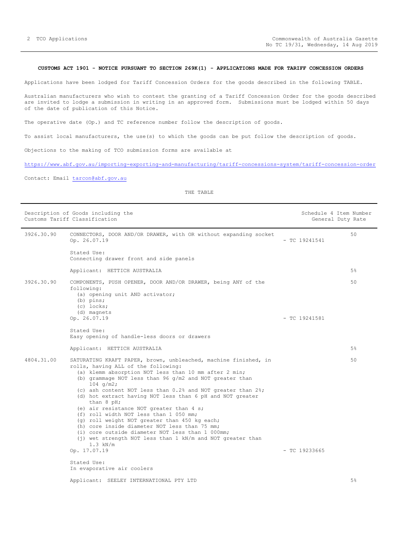#### <span id="page-1-0"></span>**CUSTOMS ACT 1901 - NOTICE PURSUANT TO SECTION 269K(1) - APPLICATIONS MADE FOR TARIFF CONCESSION ORDERS**

Applications have been lodged for Tariff Concession Orders for the goods described in the following TABLE.

Australian manufacturers who wish to contest the granting of a Tariff Concession Order for the goods described are invited to lodge a submission in writing in an approved form. Submissions must be lodged within 50 days of the date of publication of this Notice.

The operative date (Op.) and TC reference number follow the description of goods.

To assist local manufacturers, the use(s) to which the goods can be put follow the description of goods.

Objections to the making of TCO submission forms are available at

<https://www.abf.gov.au/importing-exporting-and-manufacturing/tariff-concessions-system/tariff-concession-order>

Contact: Email [tarcon@abf.gov.au](mailto:tarcon@abf.gov.au)

|            | Description of Goods including the<br>Customs Tariff Classification                                                                                                                                                                                                                                                                                                                                                                                                                                                                                                                                                                                                                                             |                 | Schedule 4 Item Number<br>General Duty Rate |
|------------|-----------------------------------------------------------------------------------------------------------------------------------------------------------------------------------------------------------------------------------------------------------------------------------------------------------------------------------------------------------------------------------------------------------------------------------------------------------------------------------------------------------------------------------------------------------------------------------------------------------------------------------------------------------------------------------------------------------------|-----------------|---------------------------------------------|
| 3926.30.90 | CONNECTORS, DOOR AND/OR DRAWER, with OR without expanding socket<br>Op. 26.07.19                                                                                                                                                                                                                                                                                                                                                                                                                                                                                                                                                                                                                                | $-$ TC 19241541 | 50                                          |
|            | Stated Use:<br>Connecting drawer front and side panels                                                                                                                                                                                                                                                                                                                                                                                                                                                                                                                                                                                                                                                          |                 |                                             |
|            | Applicant: HETTICH AUSTRALIA                                                                                                                                                                                                                                                                                                                                                                                                                                                                                                                                                                                                                                                                                    |                 | 5%                                          |
| 3926.30.90 | COMPONENTS, PUSH OPENER, DOOR AND/OR DRAWER, being ANY of the<br>following:<br>(a) opening unit AND activator;<br>$(b)$ pins;<br>$(c)$ locks;<br>(d) magnets<br>Op. 26.07.19                                                                                                                                                                                                                                                                                                                                                                                                                                                                                                                                    | $-$ TC 19241581 | 50                                          |
|            | Stated Use:<br>Easy opening of handle-less doors or drawers                                                                                                                                                                                                                                                                                                                                                                                                                                                                                                                                                                                                                                                     |                 |                                             |
|            | Applicant: HETTICH AUSTRALIA                                                                                                                                                                                                                                                                                                                                                                                                                                                                                                                                                                                                                                                                                    |                 | $5\%$                                       |
| 4804.31.00 | SATURATING KRAFT PAPER, brown, unbleached, machine finished, in<br>rolls, having ALL of the following:<br>(a) klemm absorption NOT less than 10 mm after 2 min;<br>(b) grammage NOT less than 96 $q/m2$ and NOT greater than<br>$104$ g/m2;<br>(c) ash content NOT less than 0.2% and NOT greater than 2%;<br>(d) hot extract having NOT less than 6 pH and NOT greater<br>than 8 pH;<br>(e) air resistance NOT greater than 4 s;<br>(f) roll width NOT less than 1 050 mm;<br>(g) roll weight NOT greater than 450 kg each;<br>(h) core inside diameter NOT less than 75 mm;<br>(i) core outside diameter NOT less than 1 000mm;<br>$(j)$ wet strength NOT less than 1 kN/m and NOT greater than<br>$1.3$ kN/m |                 | 50                                          |
|            | Op. 17.07.19                                                                                                                                                                                                                                                                                                                                                                                                                                                                                                                                                                                                                                                                                                    | $-$ TC 19233665 |                                             |
|            | Stated Use:<br>In evaporative air coolers                                                                                                                                                                                                                                                                                                                                                                                                                                                                                                                                                                                                                                                                       |                 |                                             |
|            | Applicant: SEELEY INTERNATIONAL PTY LTD                                                                                                                                                                                                                                                                                                                                                                                                                                                                                                                                                                                                                                                                         |                 | 5%                                          |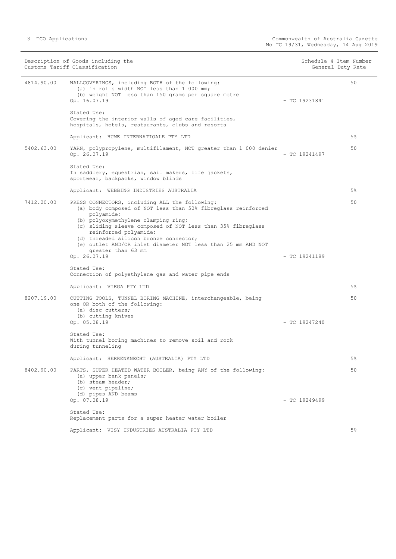| Description of Goods including the<br>Customs Tariff Classification |                                                                                                                                                                                                                                                                                                                                                                       | Schedule 4 Item Number<br>General Duty Rate |                 |       |
|---------------------------------------------------------------------|-----------------------------------------------------------------------------------------------------------------------------------------------------------------------------------------------------------------------------------------------------------------------------------------------------------------------------------------------------------------------|---------------------------------------------|-----------------|-------|
| 4814.90.00                                                          | WALLCOVERINGS, including BOTH of the following:<br>(a) in rolls width NOT less than 1 000 mm;<br>(b) weight NOT less than 150 grams per square metre<br>Op. 16.07.19                                                                                                                                                                                                  |                                             | $-$ TC 19231841 | 50    |
|                                                                     | Stated Use:<br>Covering the interior walls of aged care facilities,<br>hospitals, hotels, restaurants, clubs and resorts                                                                                                                                                                                                                                              |                                             |                 |       |
|                                                                     | Applicant: HUME INTERNATIOALE PTY LTD                                                                                                                                                                                                                                                                                                                                 |                                             |                 | $5\%$ |
| 5402.63.00                                                          | YARN, polypropylene, multifilament, NOT greater than 1 000 denier<br>Op. 26.07.19                                                                                                                                                                                                                                                                                     |                                             | $-$ TC 19241497 | 50    |
|                                                                     | Stated Use:<br>In saddlery, equestrian, sail makers, life jackets,<br>sportwear, backpacks, window blinds                                                                                                                                                                                                                                                             |                                             |                 |       |
|                                                                     | Applicant: WEBBING INDUSTRIES AUSTRALIA                                                                                                                                                                                                                                                                                                                               |                                             |                 | 5%    |
| 7412.20.00                                                          | PRESS CONNECTORS, including ALL the following:<br>(a) body composed of NOT less than 50% fibreglass reinforced<br>polyamide;<br>(b) polyoxymethylene clamping ring;<br>(c) sliding sleeve composed of NOT less than 35% fibreglass<br>reinforced polyamide;<br>(d) threaded silicon bronze connector;<br>(e) outlet AND/OR inlet diameter NOT less than 25 mm AND NOT |                                             |                 | 50    |
|                                                                     | greater than 63 mm<br>Op. 26.07.19                                                                                                                                                                                                                                                                                                                                    |                                             | $-$ TC 19241189 |       |
|                                                                     | Stated Use:<br>Connection of polyethylene gas and water pipe ends                                                                                                                                                                                                                                                                                                     |                                             |                 |       |
|                                                                     | Applicant: VIEGA PTY LTD                                                                                                                                                                                                                                                                                                                                              |                                             |                 | $5\%$ |
| 8207.19.00                                                          | CUTTING TOOLS, TUNNEL BORING MACHINE, interchangeable, being<br>one OR both of the following:<br>(a) disc cutters;                                                                                                                                                                                                                                                    |                                             |                 | 50    |
|                                                                     | (b) cutting knives<br>Op. 05.08.19                                                                                                                                                                                                                                                                                                                                    |                                             | $-$ TC 19247240 |       |
|                                                                     | Stated Use:<br>With tunnel boring machines to remove soil and rock<br>during tunneling                                                                                                                                                                                                                                                                                |                                             |                 |       |
|                                                                     | Applicant: HERRENKNECHT (AUSTRALIA) PTY LTD                                                                                                                                                                                                                                                                                                                           |                                             |                 | $5\%$ |
| 8402.90.00                                                          | PARTS, SUPER HEATED WATER BOILER, being ANY of the following:<br>(a) upper bank panels;<br>(b) steam header;<br>(c) vent pipeline;<br>(d) pipes AND beams                                                                                                                                                                                                             |                                             |                 | 50    |
|                                                                     | Op. 07.08.19                                                                                                                                                                                                                                                                                                                                                          |                                             | $-$ TC 19249499 |       |
|                                                                     | Stated Use:<br>Replacement parts for a super heater water boiler                                                                                                                                                                                                                                                                                                      |                                             |                 |       |
|                                                                     | Applicant: VISY INDUSTRIES AUSTRALIA PTY LTD                                                                                                                                                                                                                                                                                                                          |                                             |                 | 5%    |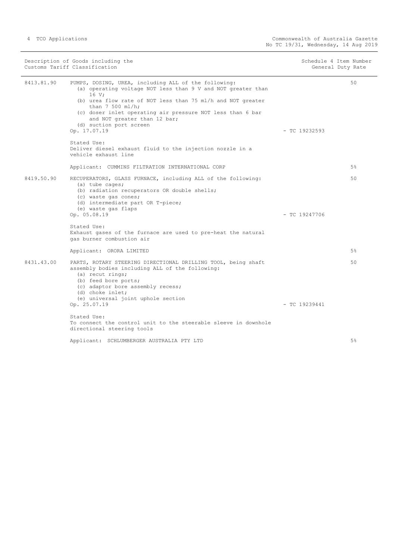| Description of Goods including the<br>Customs Tariff Classification |                                                                                                                                                                                                                                                                                                                                                            | Schedule 4 Item Number<br>General Duty Rate |       |
|---------------------------------------------------------------------|------------------------------------------------------------------------------------------------------------------------------------------------------------------------------------------------------------------------------------------------------------------------------------------------------------------------------------------------------------|---------------------------------------------|-------|
| 8413.81.90                                                          | PUMPS, DOSING, UREA, including ALL of the following:<br>(a) operating voltage NOT less than 9 V and NOT greater than<br>16 V;<br>(b) urea flow rate of NOT less than 75 ml/h and NOT greater<br>than $7500$ ml/h;<br>(c) doser inlet operating air pressure NOT less than 6 bar<br>and NOT greater than 12 bar;<br>(d) suction port screen<br>Op. 17.07.19 | $-$ TC 19232593                             | 50    |
|                                                                     | Stated Use:<br>Deliver diesel exhaust fluid to the injection nozzle in a<br>vehicle exhaust line                                                                                                                                                                                                                                                           |                                             |       |
|                                                                     | Applicant: CUMMINS FILTRATION INTERNATIONAL CORP                                                                                                                                                                                                                                                                                                           |                                             | $5\%$ |
| 8419.50.90                                                          | RECUPERATORS, GLASS FURNACE, including ALL of the following:<br>(a) tube cages;<br>(b) radiation recuperators OR double shells;<br>(c) waste qas cones;<br>(d) intermediate part OR T-piece;<br>(e) waste gas flaps<br>Op. 05.08.19                                                                                                                        | $-$ TC 19247706                             | 50    |
|                                                                     | Stated Use:<br>Exhaust gases of the furnace are used to pre-heat the natural<br>gas burner combustion air                                                                                                                                                                                                                                                  |                                             |       |
|                                                                     | Applicant: ORORA LIMITED                                                                                                                                                                                                                                                                                                                                   |                                             | 5%    |
| 8431.43.00                                                          | PARTS, ROTARY STEERING DIRECTIONAL DRILLING TOOL, being shaft<br>assembly bodies including ALL of the following:<br>(a) recut rings;<br>(b) feed bore ports;<br>(c) adaptor bore assembly recess;<br>(d) choke inlet;<br>(e) universal joint uphole section                                                                                                |                                             | 50    |
|                                                                     | Op. 25.07.19                                                                                                                                                                                                                                                                                                                                               | $-$ TC 19239441                             |       |
|                                                                     | Stated Use:<br>To connect the control unit to the steerable sleeve in downhole<br>directional steering tools                                                                                                                                                                                                                                               |                                             |       |
|                                                                     | Applicant: SCHLUMBERGER AUSTRALIA PTY LTD                                                                                                                                                                                                                                                                                                                  |                                             | 5%    |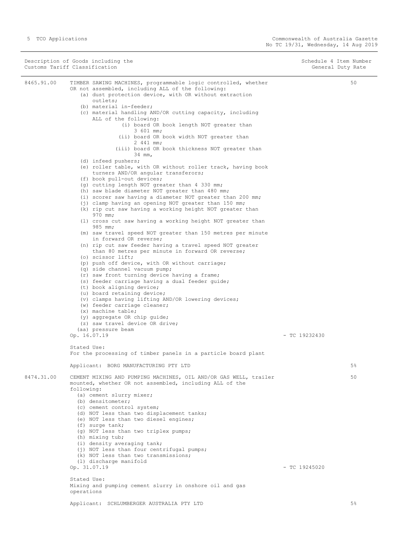|            | Description of Goods including the<br>Customs Tariff Classification                                                                                                                                                                                                                                                                                                                                                                                                                                                                                                                                                                                                                                                                                                                                                                                                                                                                                                                                                                                                                                                                                                                                                                                                                                                                                                                                                                                                                                                                                                                                                                                                                                                  | Schedule 4 Item Number<br>General Duty Rate |       |
|------------|----------------------------------------------------------------------------------------------------------------------------------------------------------------------------------------------------------------------------------------------------------------------------------------------------------------------------------------------------------------------------------------------------------------------------------------------------------------------------------------------------------------------------------------------------------------------------------------------------------------------------------------------------------------------------------------------------------------------------------------------------------------------------------------------------------------------------------------------------------------------------------------------------------------------------------------------------------------------------------------------------------------------------------------------------------------------------------------------------------------------------------------------------------------------------------------------------------------------------------------------------------------------------------------------------------------------------------------------------------------------------------------------------------------------------------------------------------------------------------------------------------------------------------------------------------------------------------------------------------------------------------------------------------------------------------------------------------------------|---------------------------------------------|-------|
| 8465.91.00 | TIMBER SAWING MACHINES, programmable logic controlled, whether<br>OR not assembled, including ALL of the following:<br>(a) dust protection device, with OR without extraction<br>outlets;<br>(b) material in-feeder;<br>(c) material handling AND/OR cutting capacity, including<br>ALL of the following:<br>(i) board OR book length NOT greater than<br>3 601 mm;<br>(ii) board OR book width NOT greater than<br>2 441 mm;<br>(iii) board OR book thickness NOT greater than<br>34 mm,<br>(d) infeed pushers;<br>(e) roller table, with OR without roller track, having book<br>turners AND/OR angular transferors;<br>(f) book pull-out devices;<br>(g) cutting length NOT greater than 4 330 mm;<br>(h) saw blade diameter NOT greater than 480 mm;<br>(i) scorer saw having a diameter NOT greater than 200 mm;<br>(j) clamp having an opening NOT greater than 150 mm;<br>(k) rip cut saw having a working height NOT greater than<br>970 mm;<br>(1) cross cut saw having a working height NOT greater than<br>985 mm;<br>(m) saw travel speed NOT greater than 150 metres per minute<br>in forward OR reverse;<br>(n) rip cut saw feeder having a travel speed NOT greater<br>than 80 metres per minute in forward OR reverse;<br>(o) scissor lift;<br>(p) push off device, with OR without carriage;<br>(q) side channel vacuum pump;<br>(r) saw front turning device having a frame;<br>(s) feeder carriage having a dual feeder quide;<br>(t) book aligning device;<br>(u) board retaining device;<br>(v) clamps having lifting AND/OR lowering devices;<br>(w) feeder carriage cleaner;<br>$(x)$ machine table;<br>(y) aggregate OR chip guide;<br>(z) saw travel device OR drive;<br>(aa) pressure beam |                                             | 50    |
|            | Op. 16.07.19<br>Stated Use:                                                                                                                                                                                                                                                                                                                                                                                                                                                                                                                                                                                                                                                                                                                                                                                                                                                                                                                                                                                                                                                                                                                                                                                                                                                                                                                                                                                                                                                                                                                                                                                                                                                                                          | $-$ TC 19232430                             |       |
|            | For the processing of timber panels in a particle board plant<br>Applicant: BORG MANUFACTURING PTY LTD                                                                                                                                                                                                                                                                                                                                                                                                                                                                                                                                                                                                                                                                                                                                                                                                                                                                                                                                                                                                                                                                                                                                                                                                                                                                                                                                                                                                                                                                                                                                                                                                               |                                             | 5%    |
| 8474.31.00 | CEMENT MIXING AND PUMPING MACHINES, OIL AND/OR GAS WELL, trailer                                                                                                                                                                                                                                                                                                                                                                                                                                                                                                                                                                                                                                                                                                                                                                                                                                                                                                                                                                                                                                                                                                                                                                                                                                                                                                                                                                                                                                                                                                                                                                                                                                                     |                                             | 50    |
|            | mounted, whether OR not assembled, including ALL of the<br>following:<br>(a) cement slurry mixer;<br>(b) densitometer;<br>(c) cement control system;<br>(d) NOT less than two displacement tanks;<br>(e) NOT less than two diesel engines;<br>(f) surge tank;<br>(q) NOT less than two triplex pumps;<br>(h) mixing tub;<br>(i) density averaging tank;<br>(j) NOT less than four centrifugal pumps;<br>(k) NOT less than two transmissions;<br>(1) discharge manifold<br>Op. 31.07.19<br>Stated Use:<br>Mixing and pumping cement slurry in onshore oil and gas                                                                                                                                                                                                                                                                                                                                                                                                                                                                                                                                                                                                                                                                                                                                                                                                                                                                                                                                                                                                                                                                                                                                                     | $-$ TC 19245020                             |       |
|            | operations                                                                                                                                                                                                                                                                                                                                                                                                                                                                                                                                                                                                                                                                                                                                                                                                                                                                                                                                                                                                                                                                                                                                                                                                                                                                                                                                                                                                                                                                                                                                                                                                                                                                                                           |                                             |       |
|            | Applicant: SCHLUMBERGER AUSTRALIA PTY LTD                                                                                                                                                                                                                                                                                                                                                                                                                                                                                                                                                                                                                                                                                                                                                                                                                                                                                                                                                                                                                                                                                                                                                                                                                                                                                                                                                                                                                                                                                                                                                                                                                                                                            |                                             | $5\%$ |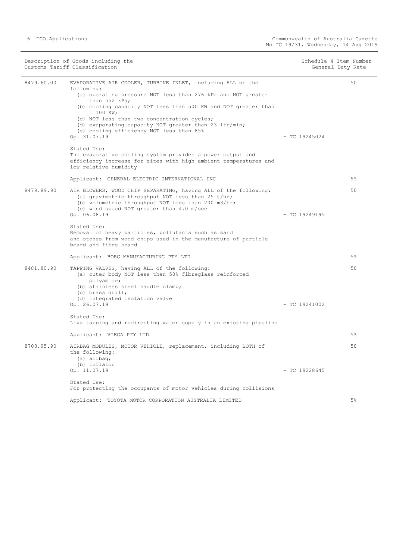|            | Description of Goods including the<br>Customs Tariff Classification                                                                                                                                                                                                                                                                                                                                                          | Schedule 4 Item Number<br>General Duty Rate |    |
|------------|------------------------------------------------------------------------------------------------------------------------------------------------------------------------------------------------------------------------------------------------------------------------------------------------------------------------------------------------------------------------------------------------------------------------------|---------------------------------------------|----|
| 8479.60.00 | EVAPORATIVE AIR COOLER, TURBINE INLET, including ALL of the<br>following:<br>(a) operating pressure NOT less than 276 kPa and NOT greater<br>than 552 kPa;<br>(b) cooling capacity NOT less than 500 KW and NOT greater than<br>1 100 KW;<br>(c) NOT less than two concentration cycles;<br>(d) evaporating capacity NOT greater than 23 ltr/min;<br>(e) cooling efficiency NOT less than 85%<br>Op. 31.07.19<br>Stated Use: | $-$ TC 19245024                             | 50 |
|            | The evaporative cooling system provides a power output and<br>efficiency increase for sites with high ambient temperatures and<br>low relative humidity                                                                                                                                                                                                                                                                      |                                             |    |
|            | Applicant: GENERAL ELECTRIC INTERNATIONAL INC                                                                                                                                                                                                                                                                                                                                                                                |                                             | 5% |
| 8479.89.90 | AIR BLOWERS, WOOD CHIP SEPARATING, having ALL of the following:<br>(a) gravimetric throughput NOT less than 25 t/hr;<br>(b) volumetric throughput NOT less than 200 m3/hr;<br>(c) wind speed NOT greater than 4.0 m/sec<br>Op. 06.08.19                                                                                                                                                                                      | $-$ TC 19249195                             | 50 |
|            | Stated Use:<br>Removal of heavy particles, pollutants such as sand<br>and stones from wood chips used in the manufacture of particle<br>board and fibre board                                                                                                                                                                                                                                                                |                                             |    |
|            | Applicant: BORG MANUFACTURING PTY LTD                                                                                                                                                                                                                                                                                                                                                                                        |                                             | 5% |
| 8481.80.90 | TAPPING VALVES, having ALL of the following:<br>(a) outer body NOT less than 50% fibreglass reinforced<br>polyamide;<br>(b) stainless steel saddle clamp;<br>(c) brass drill;<br>(d) integrated isolation valve                                                                                                                                                                                                              |                                             | 50 |
|            | Op. 26.07.19                                                                                                                                                                                                                                                                                                                                                                                                                 | $-$ TC 19241002                             |    |
|            | Stated Use:<br>Live tapping and redirecting water supply in an existing pipeline                                                                                                                                                                                                                                                                                                                                             |                                             |    |
|            | Applicant: VIEGA PTY LTD                                                                                                                                                                                                                                                                                                                                                                                                     |                                             | 5% |
| 8708.95.90 | AIRBAG MODULES, MOTOR VEHICLE, replacement, including BOTH of<br>the following:<br>(a) airbag;<br>(b) inflator<br>Op. 11.07.19                                                                                                                                                                                                                                                                                               | $-$ TC 19228645                             | 50 |
|            |                                                                                                                                                                                                                                                                                                                                                                                                                              |                                             |    |
|            | Stated Use:<br>For protecting the occupants of motor vehicles during collisions                                                                                                                                                                                                                                                                                                                                              |                                             |    |
|            | Applicant: TOYOTA MOTOR CORPORATION AUSTRALIA LIMITED                                                                                                                                                                                                                                                                                                                                                                        |                                             | 5% |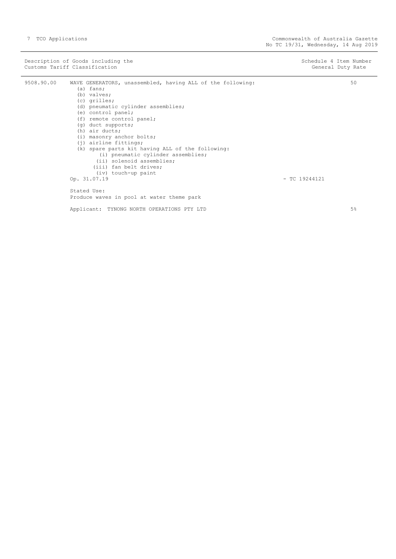Description of Goods including the Schedule 4 Item Number<br>
Customs Tariff Classification<br>
Ceneral Duty Rate Customs Tariff Classification 9508.90.00 WAVE GENERATORS, unassembled, having ALL of the following: (a) fans; (b) valves; (c) grilles; (d) pneumatic cylinder assemblies; (e) control panel; (f) remote control panel; (g) duct supports; (h) air ducts; (i) masonry anchor bolts; (j) airline fittings; (k) spare parts kit having ALL of the following: (i) pneumatic cylinder assemblies; (ii) solenoid assemblies; (iii) fan belt drives;  $(iv)$  touch-up paint<br>Op.  $31.07.19$  $-$  TC 19244121 50

Stated Use: Produce waves in pool at water theme park

Applicant: TYNONG NORTH OPERATIONS PTY LTD

5%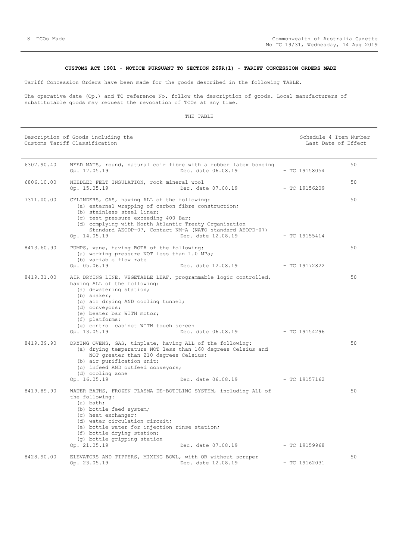#### **CUSTOMS ACT 1901 - NOTICE PURSUANT TO SECTION 269R(1) - TARIFF CONCESSION ORDERS MADE**

<span id="page-7-0"></span>Tariff Concession Orders have been made for the goods described in the following TABLE.

The operative date (Op.) and TC reference No. follow the description of goods. Local manufacturers of substitutable goods may request the revocation of TCOs at any time.

| Description of Goods including the<br>Customs Tariff Classification |                                                            | Schedule 4 Item Number<br>Last Date of Effect                                          |                 |    |
|---------------------------------------------------------------------|------------------------------------------------------------|----------------------------------------------------------------------------------------|-----------------|----|
| 6307.90.40                                                          | Op. 17.05.19                                               | WEED MATS, round, natural coir fibre with a rubber latex bonding<br>Dec. date 06.08.19 | $-$ TC 19158054 | 50 |
| 6806.10.00                                                          | NEEDLED FELT INSULATION, rock mineral wool<br>Op. 15.05.19 | Dec. date 07.08.19                                                                     | $-$ TC 19156209 | 50 |

| 7311.00.00 | CYLINDERS, GAS, having ALL of the following:<br>(a) external wrapping of carbon fibre construction;<br>(b) stainless steel liner;<br>(c) test pressure exceeding 400 Bar;<br>(d) complying with North Atlantic Treaty Organisation<br>Op. 14.05.19                                                               | Standard AEODP-07, Contact NM-A (NATO standard AEOPD-07)<br>Dec. date 12.08.19 | $-$ TC 19155414 | 50 |
|------------|------------------------------------------------------------------------------------------------------------------------------------------------------------------------------------------------------------------------------------------------------------------------------------------------------------------|--------------------------------------------------------------------------------|-----------------|----|
| 8413.60.90 | PUMPS, vane, having BOTH of the following:<br>(a) working pressure NOT less than 1.0 MPa;<br>(b) variable flow rate                                                                                                                                                                                              |                                                                                |                 | 50 |
|            | Op. 05.06.19                                                                                                                                                                                                                                                                                                     | Dec. date 12.08.19                                                             | $-$ TC 19172822 |    |
| 8419.31.00 | AIR DRYING LINE, VEGETABLE LEAF, programmable logic controlled,<br>having ALL of the following:<br>(a) dewatering station;<br>(b) shaker;<br>(c) air drying AND cooling tunnel;<br>(d) conveyors;<br>(e) beater bar WITH motor;<br>(f) platforms;<br>(q) control cabinet WITH touch screen<br>Op. 13.05.19       | Dec. date 06.08.19 - TC 19154296                                               |                 | 50 |
| 8419.39.90 | DRYING OVENS, GAS, tinplate, having ALL of the following:<br>(a) drying temperature NOT less than 160 degrees Celsius and<br>NOT greater than 210 degrees Celsius;<br>(b) air purification unit;<br>(c) infeed AND outfeed conveyors;<br>(d) cooling zone                                                        |                                                                                |                 | 50 |
|            | Op. 16.05.19                                                                                                                                                                                                                                                                                                     | Dec. date 06.08.19                                                             | $-$ TC 19157162 |    |
| 8419.89.90 | WATER BATHS, FROZEN PLASMA DE-BOTTLING SYSTEM, including ALL of<br>the following:<br>(a) bath;<br>(b) bottle feed system;<br>(c) heat exchanger;<br>(d) water circulation circuit;<br>(e) bottle water for injection rinse station;<br>(f) bottle drying station;<br>(g) bottle gripping station<br>Op. 21.05.19 | Dec. date 07.08.19                                                             | $-$ TC 19159968 | 50 |
| 8428.90.00 | ELEVATORS AND TIPPERS, MIXING BOWL, with OR without scraper                                                                                                                                                                                                                                                      |                                                                                |                 | 50 |
|            | Op. 23.05.19                                                                                                                                                                                                                                                                                                     | Dec. date 12.08.19                                                             | $-$ TC 19162031 |    |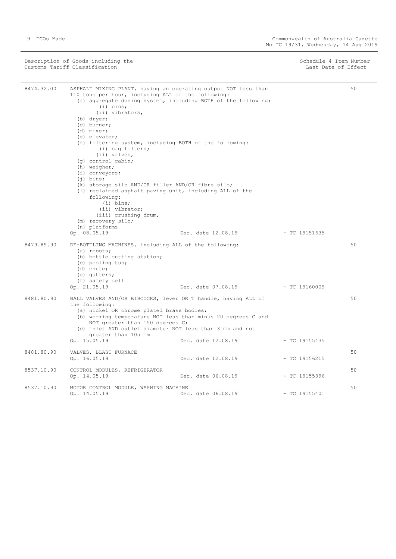÷.

| Description of Goods including the<br>Customs Tariff Classification |                                                                                                                                                                                                                                                                                                                                                                                                                                                                                                                                                                                  | Schedule 4 Item Number<br>Last Date of Effect                                      |                                  |    |
|---------------------------------------------------------------------|----------------------------------------------------------------------------------------------------------------------------------------------------------------------------------------------------------------------------------------------------------------------------------------------------------------------------------------------------------------------------------------------------------------------------------------------------------------------------------------------------------------------------------------------------------------------------------|------------------------------------------------------------------------------------|----------------------------------|----|
| 8474.32.00                                                          | ASPHALT MIXING PLANT, having an operating output NOT less than<br>110 tons per hour, including ALL of the following:<br>$(i)$ bins;<br>(ii) vibrators,<br>(b) dryer;<br>(c) burner;<br>(d) mixer;<br>(e) elevator;<br>(f) filtering system, including BOTH of the following:<br>(i) bag filters;<br>(ii) valves,<br>(q) control cabin;<br>(h) weigher;<br>$(i)$ conveyors;<br>$(i)$ bins;<br>(k) storage silo AND/OR filler AND/OR fibre silo;<br>(1) reclaimed asphalt paving unit, including ALL of the<br>following:<br>$(i)$ bins;<br>(ii) vibrator;<br>(iii) crushing drum, | (a) aggregate dosing system, including BOTH of the following:                      |                                  | 50 |
|                                                                     | (m) recovery silo;<br>(n) platforms                                                                                                                                                                                                                                                                                                                                                                                                                                                                                                                                              |                                                                                    |                                  |    |
| 8479.89.90                                                          | Op. 08.05.19<br>DE-BOTTLING MACHINES, including ALL of the following:<br>(a) robots;<br>(b) bottle cutting station;<br>(c) pooling tub;<br>(d) chute;<br>(e) qutters;<br>(f) safety cell                                                                                                                                                                                                                                                                                                                                                                                         | Dec. date 12.08.19<br>Dec. date 07.08.19                                           | - TC 19151635<br>$-$ TC 19160009 | 50 |
| 8481.80.90                                                          | Op. 21.05.19<br>BALL VALVES AND/OR BIBCOCKS, lever OR T handle, having ALL of<br>the following:<br>(a) nickel OR chrome plated brass bodies;<br>NOT greater than 150 degrees C;<br>(c) inlet AND outlet diameter NOT less than 3 mm and not<br>greater than 105 mm<br>Op. 15.05.19                                                                                                                                                                                                                                                                                               | (b) working temperature NOT less than minus 20 degrees C and<br>Dec. date 12.08.19 | $-$ TC 19155435                  | 50 |
| 8481.80.90                                                          | VALVES, BLAST FURNACE<br>Op. 16.05.19                                                                                                                                                                                                                                                                                                                                                                                                                                                                                                                                            | Dec. date 12.08.19                                                                 | $-$ TC 19156215                  | 50 |
| 8537.10.90                                                          | CONTROL MODULES, REFRIGERATOR<br>Op. 14.05.19                                                                                                                                                                                                                                                                                                                                                                                                                                                                                                                                    | Dec. date 06.08.19                                                                 | $-$ TC 19155396                  | 50 |
| 8537.10.90                                                          | MOTOR CONTROL MODULE, WASHING MACHINE<br>Op. 14.05.19                                                                                                                                                                                                                                                                                                                                                                                                                                                                                                                            | Dec. date 06.08.19                                                                 | $-$ TC 19155401                  | 50 |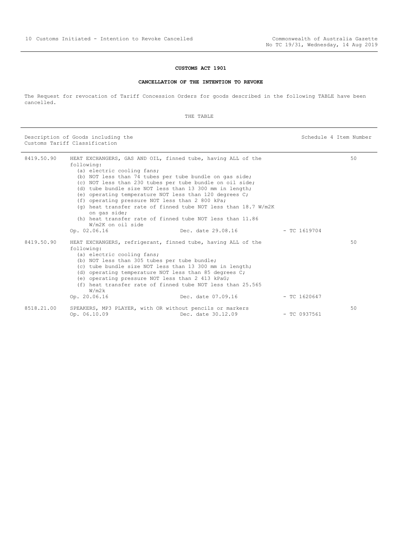#### **CUSTOMS ACT 1901**

#### **CANCELLATION OF THE INTENTION TO REVOKE**

<span id="page-9-0"></span>The Request for revocation of Tariff Concession Orders for goods described in the following TABLE have been cancelled.

THE TABLE

Description of Goods including the Schedule 4 Item Number (Schedule 4 Item Number Customs Tariff Classification

| 8419.50.90 |                                                                          | HEAT EXCHANGERS, GAS AND OIL, finned tube, having ALL of the             |                | 50 |
|------------|--------------------------------------------------------------------------|--------------------------------------------------------------------------|----------------|----|
|            | following:                                                               |                                                                          |                |    |
|            | (a) electric cooling fans;                                               |                                                                          |                |    |
|            |                                                                          | (b) NOT less than 74 tubes per tube bundle on gas side;                  |                |    |
|            |                                                                          | (c) NOT less than 230 tubes per tube bundle on oil side;                 |                |    |
|            |                                                                          | (d) tube bundle size NOT less than 13 300 mm in length;                  |                |    |
|            |                                                                          | (e) operating temperature NOT less than 120 degrees C;                   |                |    |
|            | (f) operating pressure NOT less than 2 800 kPa;                          |                                                                          |                |    |
|            | on gas side;                                                             | (q) heat transfer rate of finned tube NOT less than $18.7 \text{ W/m2K}$ |                |    |
|            | W/m2K on oil side                                                        | (h) heat transfer rate of finned tube NOT less than 11.86                |                |    |
|            | Op. 02.06.16                                                             | Dec. date 29.08.16                                                       | $-$ TC 1619704 |    |
|            |                                                                          |                                                                          |                |    |
| 8419.50.90 |                                                                          | HEAT EXCHANGERS, refrigerant, finned tube, having ALL of the             |                | 50 |
|            | following:                                                               |                                                                          |                |    |
|            | (a) electric cooling fans;                                               |                                                                          |                |    |
|            | (b) NOT less than 305 tubes per tube bundle;                             |                                                                          |                |    |
|            |                                                                          | (c) tube bundle size NOT less than 13 300 mm in length;                  |                |    |
|            |                                                                          | (d) operating temperature NOT less than 85 degrees C;                    |                |    |
|            | (e) operating pressure NOT less than 2 413 kPaG;                         |                                                                          |                |    |
|            |                                                                          | (f) heat transfer rate of finned tube NOT less than 25.565               |                |    |
|            | W/m2k<br>Op. 20.06.16                                                    | Dec. date 07.09.16                                                       | $-$ TC 1620647 |    |
|            |                                                                          |                                                                          |                |    |
| 8518.21.00 | SPEAKERS, MP3 PLAYER, with OR without pencils or markers<br>Op. 06.10.09 | Dec. date 30.12.09                                                       | $-$ TC 0937561 | 50 |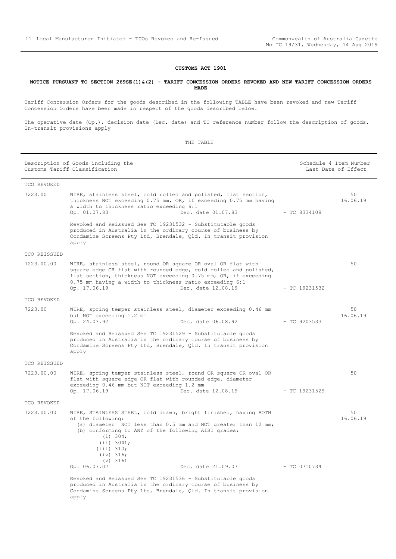#### **CUSTOMS ACT 1901**

#### <span id="page-10-0"></span>**NOTICE PURSUANT TO SECTION 269SE(1)&(2) - TARIFF CONCESSION ORDERS REVOKED AND NEW TARIFF CONCESSION ORDERS MADE**

Tariff Concession Orders for the goods described in the following TABLE have been revoked and new Tariff Concession Orders have been made in respect of the goods described below.

The operative date (Op.), decision date (Dec. date) and TC reference number follow the description of goods. In-transit provisions apply

| Description of Goods including the<br>Customs Tariff Classification |                                                                                                                                                                                                                                                                                                     | Schedule 4 Item Number<br>Last Date of Effect |                |
|---------------------------------------------------------------------|-----------------------------------------------------------------------------------------------------------------------------------------------------------------------------------------------------------------------------------------------------------------------------------------------------|-----------------------------------------------|----------------|
| TCO REVOKED                                                         |                                                                                                                                                                                                                                                                                                     |                                               |                |
| 7223.00                                                             | WIRE, stainless steel, cold rolled and polished, flat section,<br>thickness NOT exceeding 0.75 mm, OR, if exceeding 0.75 mm having<br>a width to thickness ratio exceeding 6:1<br>Op. 01.07.83<br>Dec. date 01.07.83                                                                                | $-$ TC 8334108                                | 50<br>16.06.19 |
|                                                                     | Revoked and Reissued See TC 19231532 - Substitutable goods<br>produced in Australia in the ordinary course of business by<br>Condamine Screens Pty Ltd, Brendale, Qld. In transit provision<br>apply                                                                                                |                                               |                |
| TCO REISSUED                                                        |                                                                                                                                                                                                                                                                                                     |                                               |                |
| 7223.00.00                                                          | WIRE, stainless steel, round OR square OR oval OR flat with<br>square edge OR flat with rounded edge, cold rolled and polished,<br>flat section, thickness NOT exceeding 0.75 mm, OR, if exceeding<br>0.75 mm having a width to thickness ratio exceeding 6:1<br>Op. 17.06.19<br>Dec. date 12.08.19 | - TC 19231532                                 | 50             |
| TCO REVOKED                                                         |                                                                                                                                                                                                                                                                                                     |                                               |                |
| 7223.00                                                             | WIRE, spring temper stainless steel, diameter exceeding 0.46 mm<br>but NOT exceeding 1.2 mm<br>Dec. date 06.08.92<br>Op. 24.03.92                                                                                                                                                                   | $-$ TC 9203533                                | 50<br>16.06.19 |
|                                                                     | Revoked and Reissued See TC 19231529 - Substitutable goods<br>produced in Australia in the ordinary course of business by<br>Condamine Screens Pty Ltd, Brendale, Qld. In transit provision<br>apply                                                                                                |                                               |                |
| TCO REISSUED                                                        |                                                                                                                                                                                                                                                                                                     |                                               |                |
| 7223.00.00                                                          | WIRE, spring temper stainless steel, round OR square OR oval OR<br>flat with square edge OR flat with rounded edge, diameter<br>exceeding 0.46 mm but NOT exceeding 1.2 mm<br>Op. 17.06.19<br>Dec. date 12.08.19                                                                                    | - TC 19231529                                 | 50             |
| TCO REVOKED                                                         |                                                                                                                                                                                                                                                                                                     |                                               |                |
| 7223.00.00                                                          | WIRE, STAINLESS STEEL, cold drawn, bright finished, having BOTH<br>of the following:<br>(a) diameter NOT less than 0.5 mm and NOT greater than 12 mm;<br>(b) conforming to ANY of the following AISI grades:<br>(i) 304;<br>(iii) 304L;<br>(iii) 310;<br>(iv) 316;                                  |                                               | 50<br>16.06.19 |
|                                                                     | $(v)$ 316L<br>Dec. date 21.09.07 - TC 0710734<br>Op. 06.07.07                                                                                                                                                                                                                                       |                                               |                |
|                                                                     | Revoked and Reissued See TC 19231536 - Substitutable goods<br>produced in Australia in the ordinary course of business by<br>Condamine Screens Pty Ltd, Brendale, Qld. In transit provision<br>apply                                                                                                |                                               |                |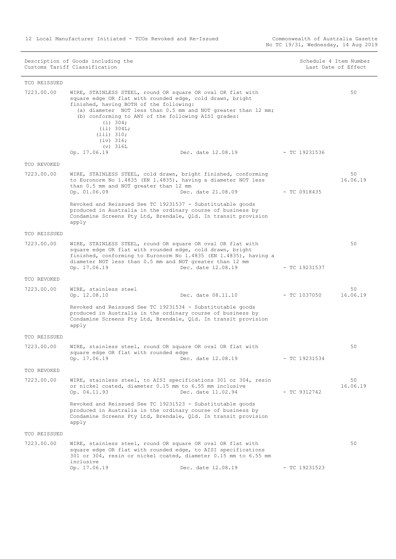12 Local Manufacturer Initiated - TCOs Revoked and Re-Issued

Commonwealth of Australia Gazette<br>No TC 19/31, Wednesday, 14 Aug 2019

|              | Customs Tariff Classification                                                                                                                                                                                                                                                                                                                                 |                    |                 | Last Date of Effect |
|--------------|---------------------------------------------------------------------------------------------------------------------------------------------------------------------------------------------------------------------------------------------------------------------------------------------------------------------------------------------------------------|--------------------|-----------------|---------------------|
| TCO REISSUED |                                                                                                                                                                                                                                                                                                                                                               |                    |                 |                     |
| 7223.00.00   | WIRE, STAINLESS STEEL, round OR square OR oval OR flat with<br>square edge OR flat with rounded edge, cold drawn, bright<br>finished, having BOTH of the following:<br>(a) diameter NOT less than 0.5 mm and NOT greater than 12 mm;<br>(b) conforming to ANY of the following AISI grades:<br>(i) 304;<br>(iii) 304L;<br>(iii) 310;<br>(iv) 316;<br>(v) 316L |                    |                 | 50                  |
|              | Op. 17.06.19                                                                                                                                                                                                                                                                                                                                                  | Dec. date 12.08.19 | - TC 19231536   |                     |
| TCO REVOKED  |                                                                                                                                                                                                                                                                                                                                                               |                    |                 |                     |
| 7223.00.00   | WIRE, STAINLESS STEEL, cold drawn, bright finished, conforming<br>to Euronorm No 1.4835 (EN 1.4835), having a diameter NOT less<br>than 0.5 mm and NOT greater than 12 mm<br>Op. 01.06.09                                                                                                                                                                     | Dec. date 21.08.09 | $-$ TC 0918435  | 50<br>16.06.19      |
|              | Revoked and Reissued See TC 19231537 - Substitutable goods<br>produced in Australia in the ordinary course of business by<br>Condamine Screens Pty Ltd, Brendale, Qld. In transit provision<br>apply                                                                                                                                                          |                    |                 |                     |
| TCO REISSUED |                                                                                                                                                                                                                                                                                                                                                               |                    |                 |                     |
| 7223.00.00   | WIRE, STAINLESS STEEL, round OR square OR oval OR flat with<br>square edge OR flat with rounded edge, cold drawn, bright<br>finished, conforming to Euronorm No 1.4835 (EN 1.4835), having a<br>diameter NOT less than 0.5 mm and NOT greater than 12 mm<br>Op. 17.06.19                                                                                      | Dec. date 12.08.19 | $-$ TC 19231537 | 50                  |
| TCO REVOKED  |                                                                                                                                                                                                                                                                                                                                                               |                    |                 |                     |
| 7223.00.00   | WIRE, stainless steel<br>Op. 12.08.10                                                                                                                                                                                                                                                                                                                         | Dec. date 08.11.10 | - TC 1037050    | 50<br>16.06.19      |
|              | Revoked and Reissued See TC 19231534 - Substitutable goods<br>produced in Australia in the ordinary course of business by<br>Condamine Screens Pty Ltd, Brendale, Qld. In transit provision<br>apply                                                                                                                                                          |                    |                 |                     |
| TCO REISSUED |                                                                                                                                                                                                                                                                                                                                                               |                    |                 |                     |
| 7223.00.00   | WIRE, stainless steel, round OR square OR oval OR flat with<br>square edge OR flat with rounded edge                                                                                                                                                                                                                                                          | Dec. date 12.08.19 | $-$ TC 19231534 | 50                  |
|              | Op. 17.06.19                                                                                                                                                                                                                                                                                                                                                  |                    |                 |                     |
| TCO REVOKED  |                                                                                                                                                                                                                                                                                                                                                               |                    |                 |                     |
| 7223.00.00   | WIRE, stainless steel, to AISI specifications 301 or 304, resin<br>or nickel coated, diameter 0.15 mm to 6.55 mm inclusive<br>Op. 04.11.93                                                                                                                                                                                                                    | Dec. date 11.02.94 | $-$ TC 9312742  | 50<br>16.06.19      |
|              | Revoked and Reissued See TC 19231523 - Substitutable goods<br>produced in Australia in the ordinary course of business by<br>Condamine Screens Pty Ltd, Brendale, Qld. In transit provision<br>apply                                                                                                                                                          |                    |                 |                     |
| TCO REISSUED |                                                                                                                                                                                                                                                                                                                                                               |                    |                 |                     |
| 7223.00.00   | WIRE, stainless steel, round OR square OR oval OR flat with<br>square edge OR flat with rounded edge, to AISI specifications<br>301 or 304, resin or nickel coated, diameter 0.15 mm to 6.55 mm<br>inclusive                                                                                                                                                  |                    |                 | 50                  |
|              | Op. 17.06.19                                                                                                                                                                                                                                                                                                                                                  | Dec. date 12.08.19 | $-$ TC 19231523 |                     |

Description of Goods including the Schedule 4 Item Number Schedule 4 Item Number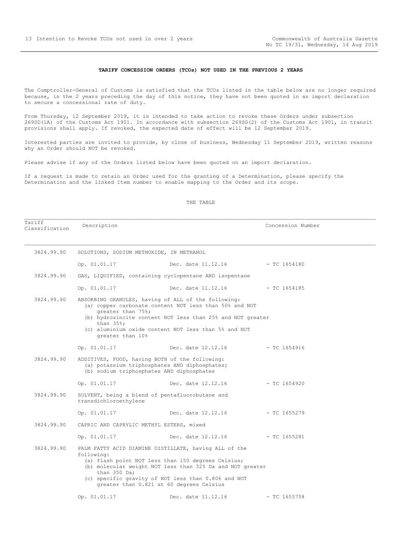Tariff<br>Classification

#### **TARIFF CONCESSION ORDERS (TCOs) NOT USED IN THE PREVIOUS 2 YEARS**

<span id="page-12-0"></span>The Comptroller-General of Customs is satisfied that the TCOs listed in the table below are no longer required because, in the 2 years preceding the day of this notice, they have not been quoted in an import declaration to secure a concessional rate of duty.

From Thursday, 12 September 2019, it is intended to take action to revoke these Orders under subsection 269SD(1A) of the Customs Act 1901. In accordance with subsection 269SG(2) of the Customs Act 1901, in transit provisions shall apply. If revoked, the expected date of effect will be 12 September 2019.

Interested parties are invited to provide, by close of business, Wednesday 11 September 2019, written reasons why an Order should NOT be revoked.

Please advise if any of the Orders listed below have been quoted on an import declaration.

If a request is made to retain an Order used for the granting of a Determination, please specify the Determination and the linked Item number to enable mapping to the Order and its scope.

#### THE TABLE

Description  $\blacksquare$ 

 3824.99.90 SOLUTIONS, SODIUM METHOXIDE, IN METHANOL Op. 01.01.17 Dec. date 11.12.16 - TC 1654180 3824.99.90 GAS, LIQUIFIED, containing cyclopentane AND isopentane Op. 01.01.17 Dec. date 11.12.16 - TC 1654185 3824.99.90 ABSORBING GRANULES, having of ALL of the following: (a) copper carbonate content NOT less than 50% and NOT greater than 75%; (b) hydrozincite content NOT less than 25% and NOT greater than 35%; (c) aluminium oxide content NOT less than 5% and NOT greater than 10% Op. 01.01.17 Dec. date 12.12.16 - TC 1654916 3824.99.90 ADDITIVES, FOOD, having BOTH of the following: (a) potassium triphosphates AND diphosphates; (b) sodium triphosphates AND diphosphates Op. 01.01.17 Dec. date 12.12.16 - TC 1654920 3824.99.90 SOLVENT, being a blend of pentafluorobutane and transdichloroethylene Op. 01.01.17 Dec. date 12.12.16 - TC 1655279 3824.99.90 CAPRIC AND CAPRYLIC METHYL ESTERS, mixed Op. 01.01.17 Dec. date 12.12.16 - TC 1655281 3824.99.90 PALM FATTY ACID DIAMINE DISTILLATE, having ALL of the following: (a) flash point NOT less than 150 degrees Celsius; (b) molecular weight NOT less than 325 Da and NOT greater than 350 Da; (c) specific gravity of NOT less than 0.806 and NOT greater than 0.821 at 60 degrees Celsius Op. 01.01.17 Dec. date 11.12.16 - TC 1655758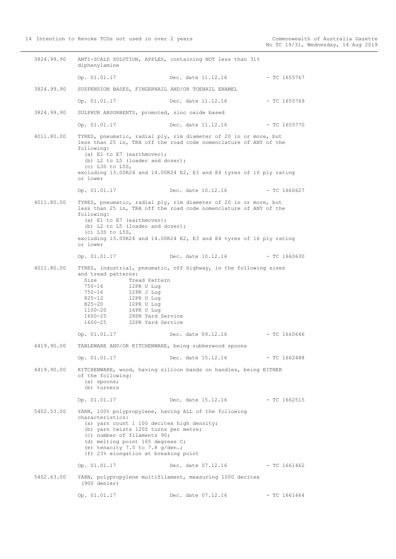3824.99.90 ANTI-SCALD SOLUTION, APPLES, containing NOT less than 31% diphenylamine Op. 01.01.17 Dec. date 11.12.16 - TC 1655767 3824.99.90 SUSPENSION BASES, FINGERNAIL AND/OR TOENAIL ENAMEL Op. 01.01.17 Dec. date 11.12.16 - TC 1655769 3824.99.90 SULPHUR ABSORBENTS, promoted, zinc oxide based Op. 01.01.17 Dec. date 11.12.16 - TC 1655770 4011.80.00 TYRES, pneumatic, radial ply, rim diameter of 20 in or more, but less than 25 in, TRA off the road code nomenclature of ANY of the following: (a) E1 to E7 (earthmover); (b) L2 to L5 (loader and dozer);  $(c)$  L3S to L5S. excluding 13.00R24 and 14.00R24 E2, E3 and E4 tyres of 16 ply rating or lower Op. 01.01.17 Dec. date 10.12.16 - TC 1660627 4011.80.00 TYRES, pneumatic, radial ply, rim diameter of 20 in or more, but less than 25 in, TRA off the road code nomenclature of ANY of the following: (a)  $E1$  to  $E7$  (earthmover); (b)  $L2$  to  $L5$  (loader and dozer); (c) L3S to L5S, excluding 13.00R24 and 14.00R24 E2, E3 and E4 tyres of 16 ply rating or lower Op. 01.01.17 Dec. date 10.12.16 - TC 1660630 4011.80.00 TYRES, industrial, pneumatic, off highway, in the following sizes and tread patterns: Size Tread Pattern 750-16 12PR U Lug 750-16 12PR J Lug 825-12 12PR U Lug 825-20 12PR U Lug 1100-20 16PR U Lug 1600-25 28PR Yard Service 1600-25 32PR Yard Service Op. 01.01.17 Dec. date 09.12.16 - TC 1660646 4419.90.00 TABLEWARE AND/OR KITCHENWARE, being rubberwood spoons Op. 01.01.17 Dec. date 15.12.16 - TC 1662488 4419.90.00 KITCHENWARE, wood, having silicon bands on handles, being EITHER of the following: (a) spoons; (b) turners Op. 01.01.17 Dec. date 15.12.16 - TC 1662515 5402.53.00 YARN, 100% polypropylene, having ALL of the following characteristics: (a) yarn count 1 100 decitex high density; (b) yarn twists 120Z turns per metre; (c) number of filaments 90; (d) melting point 165 degrees C; (e) tenacity 7.5 to 7.8  $q/den$ ; (f) 23% elongation at breaking point Op. 01.01.17 Dec. date 07.12.16 - TC 1661462 5402.63.00 YARN, polypropylene multifilament, measuring 1000 decitex (900 denier) Op. 01.01.17 Dec. date 07.12.16 - TC 1661464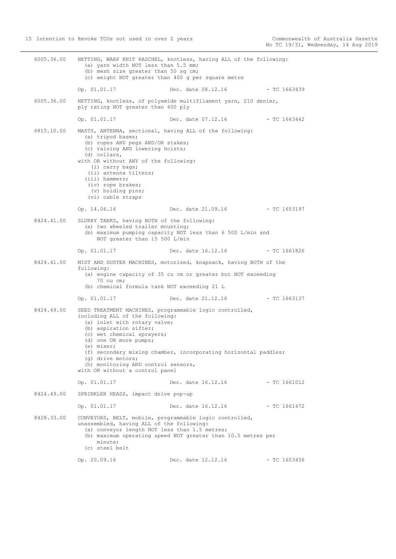6005.36.00 NETTING, WARP KNIT RASCHEL, knotless, having ALL of the following: (a) yarn width NOT less than 5.5 mm; (b) mesh size greater than 50 sq cm; (c) weight NOT greater than 400 g per square metre Op. 01.01.17 Dec. date 08.12.16 - TC 1663439 6005.36.00 NETTING, knotless, of polyamide multifilament yarn, 210 denier, ply rating NOT greater than 400 ply Op. 01.01.17 Dec. date 07.12.16 - TC 1663442 6815.10.00 MASTS, ANTENNA, sectional, having ALL of the following: (a) tripod bases; (b) ropes AND pegs AND/OR stakes; (c) raising AND lowering hoists; (d) collars, with OR without ANY of the following: (i) carry bags; (ii) antenna tilters; (iii) hammers; (iv) rope brakes; (v) holding pins; (vi) cable straps Op. 14.06.16 Dec. date 21.09.16 - TC 1653197 8424.41.00 SLURRY TANKS, having BOTH of the following: (a) two wheeled trailer mounting; (b) maximum pumping capacity NOT less than 6 500 L/min and NOT greater than 15 500 L/min Op. 01.01.17 Dec. date 16.12.16 - TC 1661826 8424.41.00 MIST AND DUSTER MACHINES, motorised, knapsack, having BOTH of the following: (a) engine capacity of 35 cu cm or greater but NOT exceeding 70 cu cm; (b) chemical formula tank NOT exceeding 21 L Op. 01.01.17 Dec. date 21.12.16 - TC 1663137 8424.49.00 SEED TREATMENT MACHINES, programmable logic controlled, including ALL of the following: (a) inlet with rotary valve; (b) aspiration sifter; (c) wet chemical sprayers; (d) one OR more pumps; (e) mixer; (f) secondary mixing chamber, incorporating horizontal paddles; (g) drive motors; (h) monitoring AND control sensors, with OR without a control panel Op. 01.01.17 Dec. date 16.12.16 - TC 1661012 8424.49.00 SPRINKLER HEADS, impact drive pop-up Op. 01.01.17 Dec. date 16.12.16 - TC 1661472 8428.33.00 CONVEYORS, BELT, mobile, programmable logic controlled, unassembled, having ALL of the following: (a) conveyor length NOT less than 1.5 metres; (b) maximum operating speed NOT greater than 10.5 metres per minute; (c) steel belt Op. 20.09.16 Dec. date 12.12.16 - TC 1653456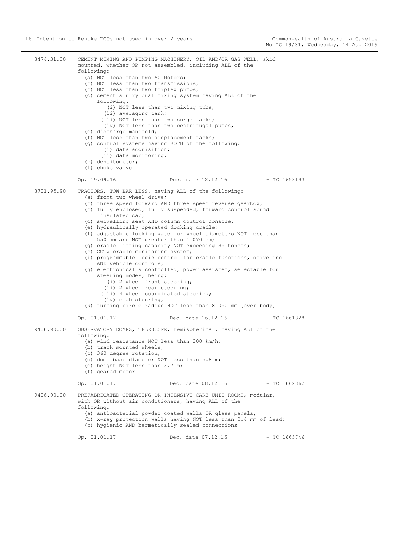8474.31.00 CEMENT MIXING AND PUMPING MACHINERY, OIL AND/OR GAS WELL, skid mounted, whether OR not assembled, including ALL of the following: (a) NOT less than two AC Motors; (b) NOT less than two transmissions; (c) NOT less than two triplex pumps; (d) cement slurry dual mixing system having ALL of the following: (i) NOT less than two mixing tubs; (ii) averaging tank; (iii) NOT less than two surge tanks; (iv) NOT less than two centrifugal pumps, (e) discharge manifold; (f) NOT less than two displacement tanks; (g) control systems having BOTH of the following: (i) data acquisition; (ii) data monitoring, (h) densitometer; (i) choke valve Op. 19.09.16 Dec. date 12.12.16 - TC 1653193 8701.95.90 TRACTORS, TOW BAR LESS, having ALL of the following: (a) front two wheel drive; (b) three speed forward AND three speed reverse gearbox; (c) fully enclosed, fully suspended, forward control sound insulated cab; (d) swivelling seat AND column control console; (e) hydraulically operated docking cradle; (f) adjustable locking gate for wheel diameters NOT less than 550 mm and NOT greater than 1 070 mm; (g) cradle lifting capacity NOT exceeding 35 tonnes; (h) CCTV cradle monitoring system; (i) programmable logic control for cradle functions, driveline AND vehicle controls; (j) electronically controlled, power assisted, selectable four steering modes, being: (i) 2 wheel front steering; (ii) 2 wheel rear steering; (iii) 4 wheel coordinated steering; (iv) crab steering, (k) turning circle radius NOT less than 8 050 mm [over body] Op. 01.01.17 Dec. date 16.12.16 - TC 1661828 9406.90.00 OBSERVATORY DOMES, TELESCOPE, hemispherical, having ALL of the following: (a) wind resistance NOT less than 300 km/h; (b) track mounted wheels; (c) 360 degree rotation; (d) dome base diameter NOT less than 5.8 m; (e) height NOT less than 3.7 m; (f) geared motor Op. 01.01.17 Dec. date 08.12.16 - TC 1662862 9406.90.00 PREFABRICATED OPERATING OR INTENSIVE CARE UNIT ROOMS, modular, with OR without air conditioners, having ALL of the following: (a) antibacterial powder coated walls OR glass panels; (b) x-ray protection walls having NOT less than 0.4 mm of lead; (c) hygienic AND hermetically sealed connections Op. 01.01.17 Dec. date 07.12.16 - TC 1663746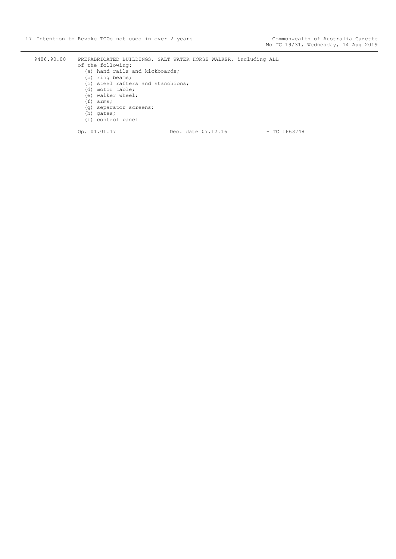9406.90.00 PREFABRICATED BUILDINGS, SALT WATER HORSE WALKER, including ALL of the following: (a) hand rails and kickboards; (b) ring beams; (c) steel rafters and stanchions; (d) motor table; (e) walker wheel; (f) arms; (g) separator screens; (h) gates; (i) control panel Op. 01.01.17 Dec. date 07.12.16 - TC 1663748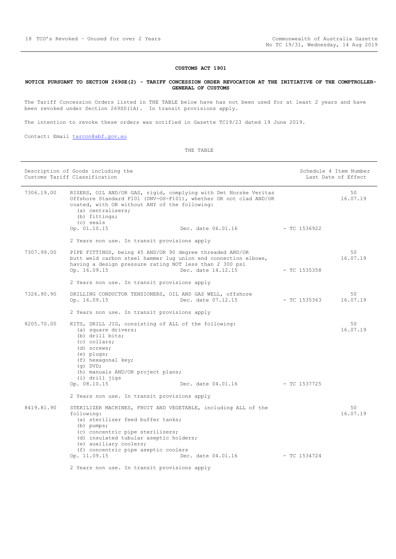#### **CUSTOMS ACT 1901**

#### <span id="page-17-0"></span>**NOTICE PURSUANT TO SECTION 269SE(2) - TARIFF CONCESSION ORDER REVOCATION AT THE INITIATIVE OF THE COMPTROLLER-GENERAL OF CUSTOMS**

The Tariff Concession Orders listed in THE TABLE below have has not been used for at least 2 years and have been revoked under Section 269SD(1A). In transit provisions apply.

The intention to revoke these orders was notified in Gazette TC19/23 dated 19 June 2019.

Contact: Email [tarcon@abf.gov.au](mailto:tarcon@abf.gov.au)

| Description of Goods including the<br>Customs Tariff Classification |                                                                                                                                                                                                                                                                                                  |                                   |              | Schedule 4 Item Number<br>Last Date of Effect |  |
|---------------------------------------------------------------------|--------------------------------------------------------------------------------------------------------------------------------------------------------------------------------------------------------------------------------------------------------------------------------------------------|-----------------------------------|--------------|-----------------------------------------------|--|
| 7306.19.00                                                          | RISERS, OIL AND/OR GAS, rigid, complying with Det Norske Veritas<br>Offshore Standard F101 (DNV-OS-F101), whether OR not clad AND/OR<br>coated, with OR without ANY of the following:<br>(a) centralisers;<br>(b) fittings;<br>(c) seals                                                         |                                   |              | 50<br>16.07.19                                |  |
|                                                                     | Op. 01.10.15                                                                                                                                                                                                                                                                                     | Dec. date 06.01.16 - TC 1536922   |              |                                               |  |
| 2 Years non use. In transit provisions apply                        |                                                                                                                                                                                                                                                                                                  |                                   |              |                                               |  |
| 7307.99.00                                                          | PIPE FITTINGS, being 45 AND/OR 90 degree threaded AND/OR<br>butt weld carbon steel hammer luq union end connection elbows,<br>having a design pressure rating NOT less than 2 300 psi<br>Op. 16.09.15                                                                                            | Dec. date 14.12.15                | - TC 1535358 | 50<br>16.07.19                                |  |
|                                                                     | 2 Years non use. In transit provisions apply                                                                                                                                                                                                                                                     |                                   |              |                                               |  |
| 7326.90.90                                                          | DRILLING CONDUCTOR TENSIONERS, OIL AND GAS WELL, offshore<br>Op. 16.09.15                                                                                                                                                                                                                        | Dec. date 07.12.15                | - TC 1535363 | 50<br>16.07.19                                |  |
|                                                                     | 2 Years non use. In transit provisions apply                                                                                                                                                                                                                                                     |                                   |              |                                               |  |
| 8205.70.00                                                          | KITS, DRILL JIG, consisting of ALL of the following:<br>(a) square drivers;<br>(b) drill bits;<br>(c) collars;<br>(d) screws;<br>(e) plugs;<br>(f) hexagonal key;<br>$(q)$ DVD;<br>(h) manuals AND/OR project plans;<br>(i) drill jigs                                                           | Dec. date $04.01.16$ - TC 1537725 |              | 50<br>16.07.19                                |  |
|                                                                     | Op. 08.10.15<br>2 Years non use. In transit provisions apply                                                                                                                                                                                                                                     |                                   |              |                                               |  |
| 8419.81.90                                                          | STERILIZER MACHINES, FRUIT AND VEGETABLE, including ALL of the<br>following:<br>(a) sterilizer feed buffer tanks;<br>$(b)$ pumps;<br>(c) concentric pipe sterilizers;<br>(d) insulated tubular aseptic holders;<br>(e) auxiliary coolers;<br>(f) concentric pipe aseptic coolers<br>Op. 11.09.15 | Dec. date 04.01.16                | - TC 1534724 | 50<br>16.07.19                                |  |
|                                                                     | 2 Years non use. In transit provisions apply                                                                                                                                                                                                                                                     |                                   |              |                                               |  |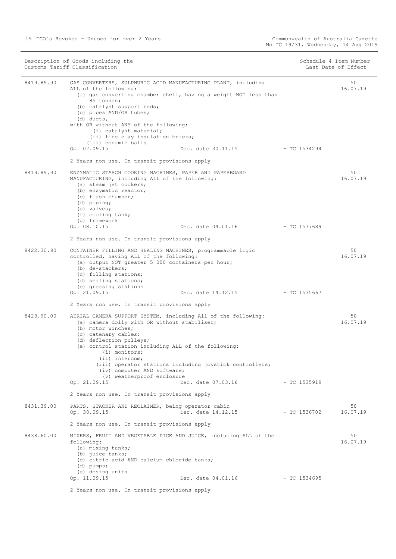|            | Description of Goods including the<br>Customs Tariff Classification                                                                                                                                                                                                                                                                                                                                                                              |                | Schedule 4 Item Number<br>Last Date of Effect |
|------------|--------------------------------------------------------------------------------------------------------------------------------------------------------------------------------------------------------------------------------------------------------------------------------------------------------------------------------------------------------------------------------------------------------------------------------------------------|----------------|-----------------------------------------------|
| 8419.89.90 | GAS CONVERTERS, SULPHURIC ACID MANUFACTURING PLANT, including<br>ALL of the following:<br>(a) gas converting chamber shell, having a weight NOT less than<br>85 tonnes;<br>(b) catalyst support beds;<br>(c) pipes AND/OR tubes;<br>(d) ducts,<br>with OR without ANY of the following:<br>(i) catalyst material;<br>(ii) fire clay insulation bricks;                                                                                           |                | 50<br>16.07.19                                |
|            | (iii) ceramic balls<br>Op. 07.09.15<br>Dec. date 30.11.15                                                                                                                                                                                                                                                                                                                                                                                        | - TC 1534294   |                                               |
|            | 2 Years non use. In transit provisions apply                                                                                                                                                                                                                                                                                                                                                                                                     |                |                                               |
| 8419.89.90 | ENZYMATIC STARCH COOKING MACHINES, PAPER AND PAPERBOARD<br>MANUFACTURING, including ALL of the following:<br>(a) steam jet cookers;<br>(b) enzymatic reactor;<br>(c) flash chamber;<br>(d) piping;<br>(e) valves;<br>(f) cooling tank;                                                                                                                                                                                                           |                | 50<br>16.07.19                                |
|            | (q) framework<br>Op. 08.10.15<br>Dec. date 04.01.16                                                                                                                                                                                                                                                                                                                                                                                              | $-TC$ 1537689  |                                               |
|            | 2 Years non use. In transit provisions apply                                                                                                                                                                                                                                                                                                                                                                                                     |                |                                               |
| 8422.30.90 | CONTAINER FILLING AND SEALING MACHINES, programmable logic<br>controlled, having ALL of the following:<br>(a) output NOT greater 5 000 containers per hour;<br>(b) de-stackers;<br>(c) filling stations;<br>(d) sealing stations;<br>(e) greasing stations                                                                                                                                                                                       |                | 50<br>16.07.19                                |
|            | Op. 21.09.15<br>Dec. date 14.12.15                                                                                                                                                                                                                                                                                                                                                                                                               | - TC 1535667   |                                               |
|            | 2 Years non use. In transit provisions apply                                                                                                                                                                                                                                                                                                                                                                                                     |                |                                               |
| 8428.90.00 | AERIAL CAMERA SUPPORT SYSTEM, including All of the following:<br>(a) camera dolly with OR without stabiliser;<br>(b) motor winches;<br>(c) catenary cables;<br>(d) deflection pulleys;<br>(e) control station including ALL of the following:<br>$(i)$ monitors;<br>(ii) intercom;<br>(iii) operator stations including joystick controllers;<br>(iv) computer AND software;<br>(v) weatherproof enclosure<br>Op. 21.09.15<br>Dec. date 07.03.16 | $- TC 1535919$ | 50<br>16.07.19                                |
|            | 2 Years non use. In transit provisions apply                                                                                                                                                                                                                                                                                                                                                                                                     |                |                                               |
| 8431.39.00 | PARTS, STACKER AND RECLAIMER, being operator cabin<br>Op. 30.09.15<br>Dec. date 14.12.15                                                                                                                                                                                                                                                                                                                                                         | $-$ TC 1536702 | 50<br>16.07.19                                |
|            | 2 Years non use. In transit provisions apply                                                                                                                                                                                                                                                                                                                                                                                                     |                |                                               |
| 8438.60.00 | MIXERS, FRUIT AND VEGETABLE DICE AND JUICE, including ALL of the<br>following:<br>(a) mixing tanks;<br>(b) juice tanks;<br>(c) citric acid AND calcium chloride tanks;<br>(d) pumps;<br>(e) dosing units<br>Op. 11.09.15<br>Dec. date 04.01.16                                                                                                                                                                                                   | $-$ TC 1534695 | 50<br>16.07.19                                |
|            |                                                                                                                                                                                                                                                                                                                                                                                                                                                  |                |                                               |
|            | 2 Years non use. In transit provisions apply                                                                                                                                                                                                                                                                                                                                                                                                     |                |                                               |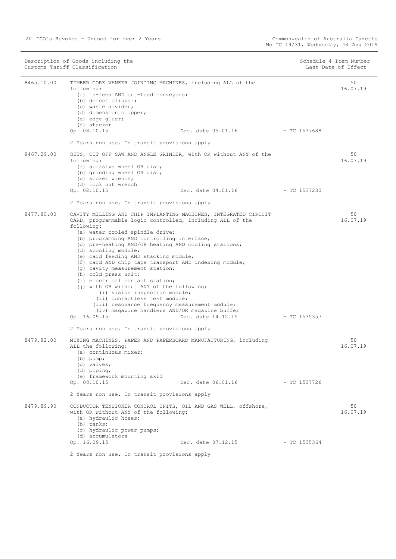|            | Description of Goods including the<br>Customs Tariff Classification                                                                                                                                                                                                                                                                                                                                                                                                                                                                                                                                                                                                                                                                          |                                   |                | Schedule 4 Item Number<br>Last Date of Effect |
|------------|----------------------------------------------------------------------------------------------------------------------------------------------------------------------------------------------------------------------------------------------------------------------------------------------------------------------------------------------------------------------------------------------------------------------------------------------------------------------------------------------------------------------------------------------------------------------------------------------------------------------------------------------------------------------------------------------------------------------------------------------|-----------------------------------|----------------|-----------------------------------------------|
| 8465.10.00 | TIMBER CORE VENEER JOINTING MACHINES, including ALL of the<br>following:<br>(a) in-feed AND out-feed conveyors;<br>(b) defect clipper;<br>(c) waste divider;<br>(d) dimension clipper;<br>(e) edge gluer;<br>(f) stacker<br>Op. 08.10.15                                                                                                                                                                                                                                                                                                                                                                                                                                                                                                     | Dec. date 05.01.16 - TC 1537688   |                | 50<br>16.07.19                                |
|            | 2 Years non use. In transit provisions apply                                                                                                                                                                                                                                                                                                                                                                                                                                                                                                                                                                                                                                                                                                 |                                   |                |                                               |
| 8467.29.00 | SETS, CUT OFF SAW AND ANGLE GRINDER, with OR without ANY of the<br>following:<br>(a) abrasive wheel OR disc;<br>(b) grinding wheel OR disc;<br>(c) socket wrench;<br>(d) lock nut wrench                                                                                                                                                                                                                                                                                                                                                                                                                                                                                                                                                     |                                   |                | 50<br>16.07.19                                |
|            | Op. 02.10.15                                                                                                                                                                                                                                                                                                                                                                                                                                                                                                                                                                                                                                                                                                                                 | Dec. date $04.01.16$ - TC 1537230 |                |                                               |
|            | 2 Years non use. In transit provisions apply                                                                                                                                                                                                                                                                                                                                                                                                                                                                                                                                                                                                                                                                                                 |                                   |                |                                               |
| 8477.80.00 | CAVITY MILLING AND CHIP IMPLANTING MACHINES, INTEGRATED CIRCUIT<br>CARD, programmable logic controlled, including ALL of the<br>following:<br>(a) water cooled spindle drive;<br>(b) programming AND controlling interface;<br>(c) pre-heating AND/OR heating AND cooling stations;<br>(d) spooling module;<br>(e) card feeding AND stacking module;<br>(f) card AND chip tape transport AND indexing module;<br>(g) cavity measurement station;<br>(h) cold press unit;<br>(i) electrical contact station;<br>(j) with OR without ANY of the following:<br>(i) vision inspection module;<br>(ii) contactless test module;<br>(iii) resonance frequency measurement module;<br>(iv) magazine handlers AND/OR magazine buffer<br>Op. 16.09.15 | Dec. date 14.12.15                | - TC 1535357   | 50<br>16.07.19                                |
|            | 2 Years non use. In transit provisions apply                                                                                                                                                                                                                                                                                                                                                                                                                                                                                                                                                                                                                                                                                                 |                                   |                |                                               |
| 8479.82.00 | MIXING MACHINES, PAPER AND PAPERBOARD MANUFACTURING, including<br>ALL the following:<br>(a) continuous mixer;<br>$(b)$ pump;<br>(c) valves;<br>(d) piping;<br>(e) framework mounting skid                                                                                                                                                                                                                                                                                                                                                                                                                                                                                                                                                    |                                   |                | 50<br>16.07.19                                |
|            | Op. 08.10.15                                                                                                                                                                                                                                                                                                                                                                                                                                                                                                                                                                                                                                                                                                                                 | Dec. date 06.01.16                | - TC 1537726   |                                               |
|            | 2 Years non use. In transit provisions apply                                                                                                                                                                                                                                                                                                                                                                                                                                                                                                                                                                                                                                                                                                 |                                   |                |                                               |
| 8479.89.90 | CONDUCTOR TENSIONER CONTROL UNITS, OIL AND GAS WELL, offshore,<br>with OR without ANY of the following:<br>(a) hydraulic hoses;<br>$(b)$ tanks;<br>(c) hydraulic power pumps;<br>(d) accumulators                                                                                                                                                                                                                                                                                                                                                                                                                                                                                                                                            |                                   |                | 50<br>16.07.19                                |
|            | Op. 16.09.15                                                                                                                                                                                                                                                                                                                                                                                                                                                                                                                                                                                                                                                                                                                                 | Dec. date 07.12.15                | $-$ TC 1535364 |                                               |
|            | 2 Years non use. In transit provisions apply                                                                                                                                                                                                                                                                                                                                                                                                                                                                                                                                                                                                                                                                                                 |                                   |                |                                               |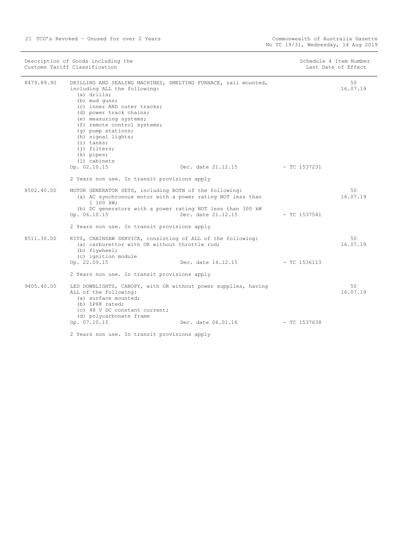| Description of Goods including the<br>Customs Tariff Classification |                                                                                                                                                                                                                                                                                                                                                                                   | Schedule 4 Item Number<br>Last Date of Effect |                |                |
|---------------------------------------------------------------------|-----------------------------------------------------------------------------------------------------------------------------------------------------------------------------------------------------------------------------------------------------------------------------------------------------------------------------------------------------------------------------------|-----------------------------------------------|----------------|----------------|
| 8479.89.90                                                          | DRILLING AND SEALING MACHINES, SMELTING FURNACE, rail mounted,<br>including ALL the following:<br>$(a)$ drills;<br>(b) mud guns;<br>(c) inner AND outer tracks;<br>(d) power track chains;<br>(e) measuring systems;<br>(f) remote control systems;<br>(q) pump stations;<br>(h) signal lights;<br>$(i)$ tanks;<br>$(i)$ filters;<br>$(k)$ pipes;<br>(1) cabinets<br>Op. 02.10.15 | Dec. date 21.12.15                            | $-$ TC 1537231 | 50<br>16.07.19 |
|                                                                     | 2 Years non use. In transit provisions apply                                                                                                                                                                                                                                                                                                                                      |                                               |                |                |
| 8502.40.00                                                          | MOTOR GENERATOR SETS, including BOTH of the following:<br>(a) AC synchronous motor with a power rating NOT less than<br>1 100 kW;<br>(b) DC generators with a power rating NOT less than 300 kW<br>Op. 06.10.15<br>2 Years non use. In transit provisions apply                                                                                                                   | Dec. date 21.12.15                            | $-$ TC 1537541 | 50<br>16.07.19 |
| 8511.30.00                                                          | KITS, CHAINSAW SERVICE, consisting of ALL of the following:<br>(a) carburettor with OR without throttle rod;<br>(b) flywheel;<br>(c) ignition module<br>Op. 22.09.15                                                                                                                                                                                                              | Dec. date 14.12.15                            | $-$ TC 1536113 | 50<br>16.07.19 |
|                                                                     | 2 Years non use. In transit provisions apply                                                                                                                                                                                                                                                                                                                                      |                                               |                |                |
| 9405.40.00                                                          | LED DOWNLIGHTS, CANOPY, with OR without power supplies, having<br>ALL of the following:<br>(a) surface mounted;<br>(b) IP68 rated;<br>(c) 48 V DC constant current;<br>(d) polycarbonate frame                                                                                                                                                                                    |                                               |                | 50<br>16.07.19 |
|                                                                     | Op. 07.10.15                                                                                                                                                                                                                                                                                                                                                                      | Dec. date 06.01.16                            | $-$ TC 1537638 |                |
|                                                                     | 2 Years non use. In transit provisions apply                                                                                                                                                                                                                                                                                                                                      |                                               |                |                |